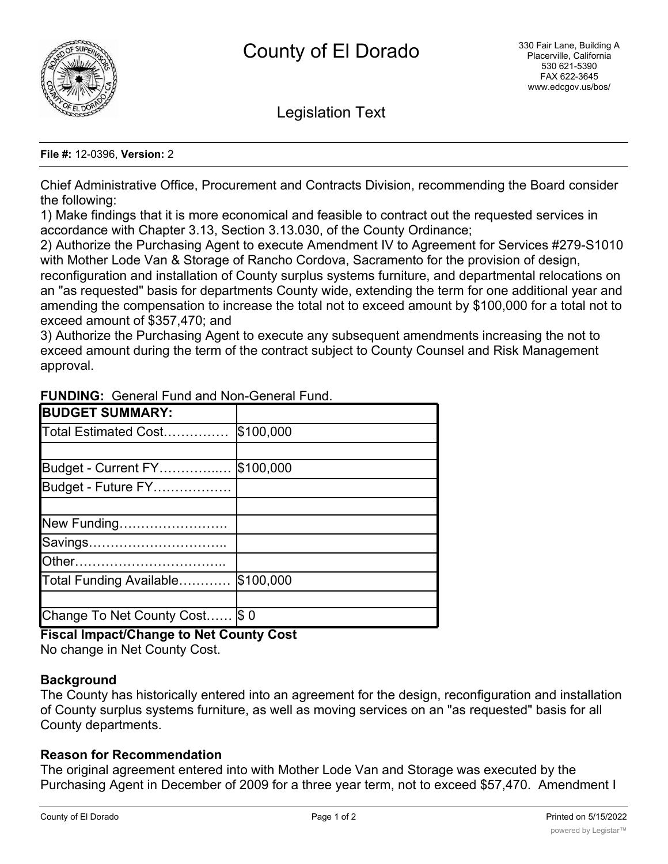

Legislation Text

#### **File #:** 12-0396, **Version:** 2

Chief Administrative Office, Procurement and Contracts Division, recommending the Board consider the following:

1) Make findings that it is more economical and feasible to contract out the requested services in accordance with Chapter 3.13, Section 3.13.030, of the County Ordinance;

2) Authorize the Purchasing Agent to execute Amendment IV to Agreement for Services #279-S1010 with Mother Lode Van & Storage of Rancho Cordova, Sacramento for the provision of design,

reconfiguration and installation of County surplus systems furniture, and departmental relocations on an "as requested" basis for departments County wide, extending the term for one additional year and amending the compensation to increase the total not to exceed amount by \$100,000 for a total not to exceed amount of \$357,470; and

3) Authorize the Purchasing Agent to execute any subsequent amendments increasing the not to exceed amount during the term of the contract subject to County Counsel and Risk Management approval.

| <b>BUDGET SUMMARY:</b>         |           |
|--------------------------------|-----------|
| Total Estimated Cost           | \$100,000 |
|                                |           |
| Budget - Current FY            | \$100,000 |
| Budget - Future FY             |           |
|                                |           |
| New Funding                    |           |
| Savings                        |           |
|                                |           |
| Total Funding Available        | \$100,000 |
|                                |           |
| Change To Net County Cost \$ 0 |           |

**FUNDING:** General Fund and Non-General Fund.

# **Fiscal Impact/Change to Net County Cost**

No change in Net County Cost.

## **Background**

The County has historically entered into an agreement for the design, reconfiguration and installation of County surplus systems furniture, as well as moving services on an "as requested" basis for all County departments.

## **Reason for Recommendation**

The original agreement entered into with Mother Lode Van and Storage was executed by the Purchasing Agent in December of 2009 for a three year term, not to exceed \$57,470. Amendment I